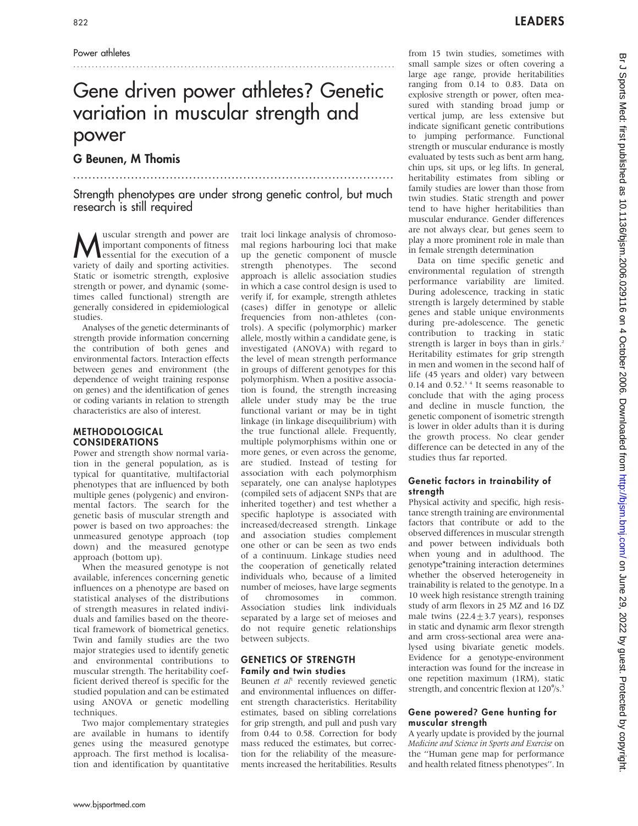# Gene driven power athletes? Genetic variation in muscular strength and power

.......................................................................................

# G Beunen, M Thomis

Strength phenotypes are under strong genetic control, but much research is still required

...................................................................................

**M** uscular strength and power are<br>essential for the execution of a<br>wrighty of daily and enorting activities important components of fitness essential for the execution of a variety of daily and sporting activities. Static or isometric strength, explosive strength or power, and dynamic (sometimes called functional) strength are generally considered in epidemiological studies.

Analyses of the genetic determinants of strength provide information concerning the contribution of both genes and environmental factors. Interaction effects between genes and environment (the dependence of weight training response on genes) and the identification of genes or coding variants in relation to strength characteristics are also of interest.

#### METHODOLOGICAL CONSIDERATIONS

Power and strength show normal variation in the general population, as is typical for quantitative, multifactorial phenotypes that are influenced by both multiple genes (polygenic) and environmental factors. The search for the genetic basis of muscular strength and power is based on two approaches: the unmeasured genotype approach (top down) and the measured genotype approach (bottom up).

When the measured genotype is not available, inferences concerning genetic influences on a phenotype are based on statistical analyses of the distributions of strength measures in related individuals and families based on the theoretical framework of biometrical genetics. Twin and family studies are the two major strategies used to identify genetic and environmental contributions to muscular strength. The heritability coefficient derived thereof is specific for the studied population and can be estimated using ANOVA or genetic modelling techniques.

Two major complementary strategies are available in humans to identify genes using the measured genotype approach. The first method is localisation and identification by quantitative trait loci linkage analysis of chromosomal regions harbouring loci that make up the genetic component of muscle strength phenotypes. The second approach is allelic association studies in which a case control design is used to verify if, for example, strength athletes (cases) differ in genotype or allelic frequencies from non-athletes (controls). A specific (polymorphic) marker allele, mostly within a candidate gene, is investigated (ANOVA) with regard to the level of mean strength performance in groups of different genotypes for this polymorphism. When a positive association is found, the strength increasing allele under study may be the true functional variant or may be in tight linkage (in linkage disequilibrium) with the true functional allele. Frequently, multiple polymorphisms within one or more genes, or even across the genome, are studied. Instead of testing for association with each polymorphism separately, one can analyse haplotypes (compiled sets of adjacent SNPs that are inherited together) and test whether a specific haplotype is associated with increased/decreased strength. Linkage and association studies complement one other or can be seen as two ends of a continuum. Linkage studies need the cooperation of genetically related individuals who, because of a limited number of meioses, have large segments of chromosomes in common. Association studies link individuals separated by a large set of meioses and do not require genetic relationships between subjects.

#### GENETICS OF STRENGTH Family and twin studies

Beunen et  $al<sup>1</sup>$  recently reviewed genetic and environmental influences on different strength characteristics. Heritability estimates, based on sibling correlations for grip strength, and pull and push vary from 0.44 to 0.58. Correction for body mass reduced the estimates, but correction for the reliability of the measurements increased the heritabilities. Results

from 15 twin studies, sometimes with small sample sizes or often covering a large age range, provide heritabilities ranging from 0.14 to 0.83. Data on explosive strength or power, often measured with standing broad jump or vertical jump, are less extensive but indicate significant genetic contributions to jumping performance. Functional strength or muscular endurance is mostly evaluated by tests such as bent arm hang, chin ups, sit ups, or leg lifts. In general, heritability estimates from sibling or family studies are lower than those from twin studies. Static strength and power tend to have higher heritabilities than muscular endurance. Gender differences are not always clear, but genes seem to play a more prominent role in male than in female strength determination

Data on time specific genetic and environmental regulation of strength performance variability are limited. During adolescence, tracking in static strength is largely determined by stable genes and stable unique environments during pre-adolescence. The genetic contribution to tracking in static strength is larger in boys than in girls.<sup>2</sup> Heritability estimates for grip strength in men and women in the second half of life (45 years and older) vary between 0.14 and 0.52. $34$  It seems reasonable to conclude that with the aging process and decline in muscle function, the genetic component of isometric strength is lower in older adults than it is during the growth process. No clear gender difference can be detected in any of the studies thus far reported.

## Genetic factors in trainability of strength

Physical activity and specific, high resistance strength training are environmental factors that contribute or add to the observed differences in muscular strength and power between individuals both when young and in adulthood. The genotype\*training interaction determines whether the observed heterogeneity in trainability is related to the genotype. In a 10 week high resistance strength training study of arm flexors in 25 MZ and 16 DZ male twins  $(22.4 \pm 3.7 \text{ years})$ , responses in static and dynamic arm flexor strength and arm cross-sectional area were analysed using bivariate genetic models. Evidence for a genotype-environment interaction was found for the increase in one repetition maximum (1RM), static strength, and concentric flexion at  $120\%$ .<sup>5</sup>

## Gene powered? Gene hunting for muscular strength

A yearly update is provided by the journal Medicine and Science in Sports and Exercise on the ''Human gene map for performance and health related fitness phenotypes''. In